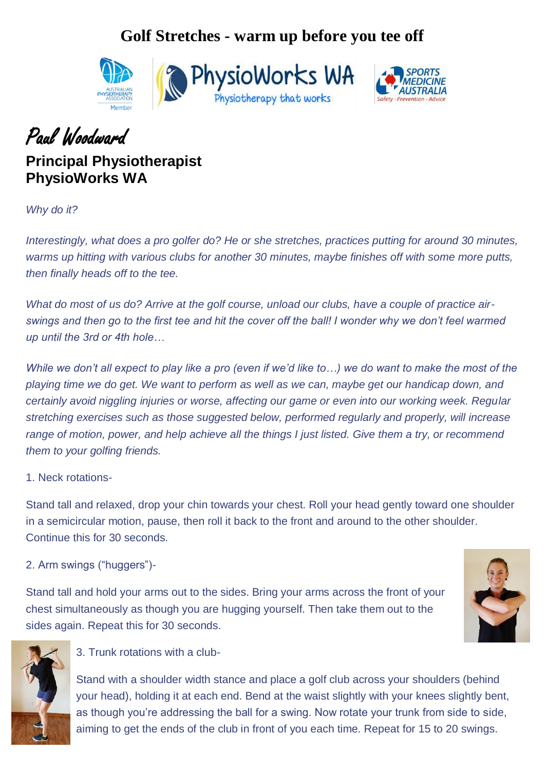### **Golf Stretches - warm up before you tee off**





## Paul Woodward

### **Principal Physiotherapist PhysioWorks WA**

*Why do it?*

*Interestingly, what does a pro golfer do? He or she stretches, practices putting for around 30 minutes, warms up hitting with various clubs for another 30 minutes, maybe finishes off with some more putts, then finally heads off to the tee.* 

*What do most of us do? Arrive at the golf course, unload our clubs, have a couple of practice airswings and then go to the first tee and hit the cover off the ball! I wonder why we don't feel warmed up until the 3rd or 4th hole…*

*While we don't all expect to play like a pro (even if we'd like to...) we do want to make the most of the playing time we do get. We want to perform as well as we can, maybe get our handicap down, and certainly avoid niggling injuries or worse, affecting our game or even into our working week. Regular stretching exercises such as those suggested below, performed regularly and properly, will increase range of motion, power, and help achieve all the things I just listed. Give them a try, or recommend them to your golfing friends.*

#### 1. Neck rotations-

Stand tall and relaxed, drop your chin towards your chest. Roll your head gently toward one shoulder in a semicircular motion, pause, then roll it back to the front and around to the other shoulder. Continue this for 30 seconds.

2. Arm swings ("huggers")-

Stand tall and hold your arms out to the sides. Bring your arms across the front of your chest simultaneously as though you are hugging yourself. Then take them out to the sides again. Repeat this for 30 seconds.





#### 3. Trunk rotations with a club-

Stand with a shoulder width stance and place a golf club across your shoulders (behind your head), holding it at each end. Bend at the waist slightly with your knees slightly bent, as though you're addressing the ball for a swing. Now rotate your trunk from side to side, aiming to get the ends of the club in front of you each time. Repeat for 15 to 20 swings.